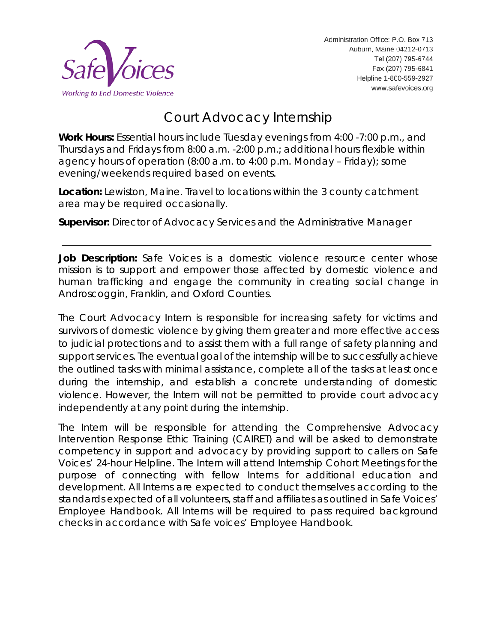

# Court Advocacy Internship

**Work Hours:** Essential hours include Tuesday evenings from 4:00 -7:00 p.m., and Thursdays and Fridays from 8:00 a.m. -2:00 p.m.; additional hours flexible within agency hours of operation (8:00 a.m. to 4:00 p.m. Monday – Friday); some evening/weekends required based on events.

**Location:** Lewiston, Maine. Travel to locations within the 3 county catchment area may be required occasionally.

**Supervisor:** Director of Advocacy Services and the Administrative Manager

**Job Description:** Safe Voices is a domestic violence resource center whose mission is to support and empower those affected by domestic violence and human trafficking and engage the community in creating social change in Androscoggin, Franklin, and Oxford Counties.

The Court Advocacy Intern is responsible for increasing safety for victims and survivors of domestic violence by giving them greater and more effective access to judicial protections and to assist them with a full range of safety planning and support services. The eventual goal of the internship will be to successfully achieve the outlined tasks with minimal assistance, complete all of the tasks at least once during the internship, and establish a concrete understanding of domestic violence. However, the Intern will not be permitted to provide court advocacy independently at any point during the internship.

The Intern will be responsible for attending the Comprehensive Advocacy Intervention Response Ethic Training (CAIRET) and will be asked to demonstrate competency in support and advocacy by providing support to callers on Safe Voices' 24-hour Helpline. The Intern will attend Internship Cohort Meetings for the purpose of connecting with fellow Interns for additional education and development. All Interns are expected to conduct themselves according to the standards expected of all volunteers, staff and affiliates as outlined in Safe Voices' Employee Handbook. All Interns will be required to pass required background checks in accordance with Safe voices' Employee Handbook.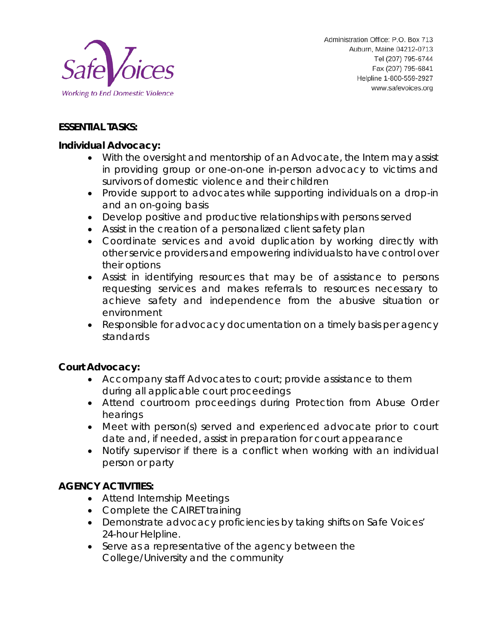

### **ESSENTIAL TASKS:**

#### **Individual Advocacy:**

- With the oversight and mentorship of an Advocate, the Intern may assist in providing group or one-on-one in-person advocacy to victims and survivors of domestic violence and their children
- Provide support to advocates while supporting individuals on a drop-in and an on-going basis
- Develop positive and productive relationships with persons served
- Assist in the creation of a personalized client safety plan
- Coordinate services and avoid duplication by working directly with other service providers and empowering individuals to have control over their options
- Assist in identifying resources that may be of assistance to persons requesting services and makes referrals to resources necessary to achieve safety and independence from the abusive situation or environment
- Responsible for advocacy documentation on a timely basis per agency standards

### **Court Advocacy:**

- Accompany staff Advocates to court; provide assistance to them during all applicable court proceedings
- Attend courtroom proceedings during Protection from Abuse Order hearings
- Meet with person(s) served and experienced advocate prior to court date and, if needed, assist in preparation for court appearance
- Notify supervisor if there is a conflict when working with an individual person or party

### **AGENCY ACTIVITIES:**

- Attend Internship Meetings
- Complete the CAIRET training
- Demonstrate advocacy proficiencies by taking shifts on Safe Voices' 24-hour Helpline.
- Serve as a representative of the agency between the College/University and the community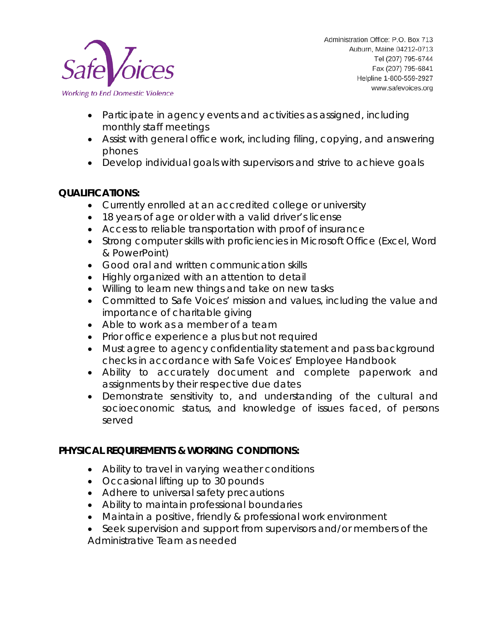

- Participate in agency events and activities as assigned, including monthly staff meetings
- Assist with general office work, including filing, copying, and answering phones
- Develop individual goals with supervisors and strive to achieve goals

## **QUALIFICATIONS:**

- Currently enrolled at an accredited college or university
- 18 years of age or older with a valid driver's license
- Access to reliable transportation with proof of insurance
- Strong computer skills with proficiencies in Microsoft Office (Excel, Word & PowerPoint)
- Good oral and written communication skills
- Highly organized with an attention to detail
- Willing to learn new things and take on new tasks
- Committed to Safe Voices' mission and values, including the value and importance of charitable giving
- Able to work as a member of a team
- Prior office experience a plus but not required
- Must agree to agency confidentiality statement and pass background checks in accordance with Safe Voices' Employee Handbook
- Ability to accurately document and complete paperwork and assignments by their respective due dates
- Demonstrate sensitivity to, and understanding of the cultural and socioeconomic status, and knowledge of issues faced, of persons served

### **PHYSICAL REQUIREMENTS & WORKING CONDITIONS:**

- Ability to travel in varying weather conditions
- Occasional lifting up to 30 pounds
- Adhere to universal safety precautions
- Ability to maintain professional boundaries
- Maintain a positive, friendly & professional work environment
- Seek supervision and support from supervisors and/or members of the Administrative Team as needed